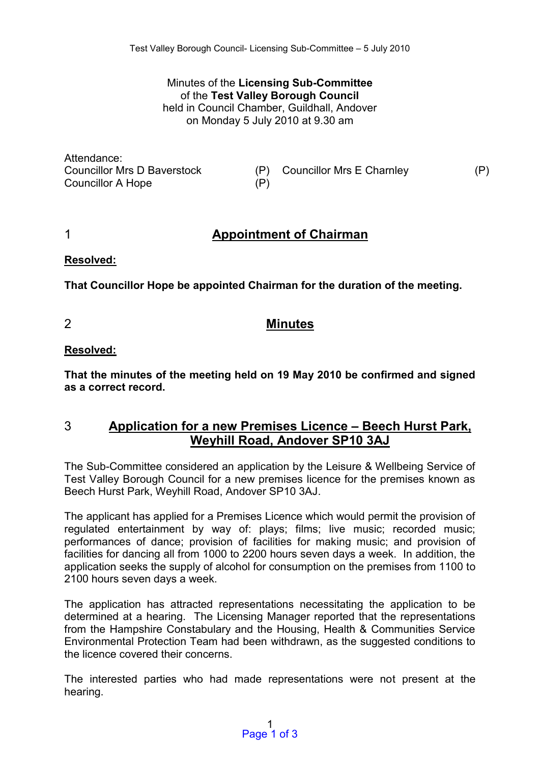Minutes of the **Licensing Sub-Committee**  of the **Test Valley Borough Council** held in Council Chamber, Guildhall, Andover on Monday 5 July 2010 at 9.30 am

Attendance: Councillor A Hope (P)

Councillor Mrs D Baverstock (P) Councillor Mrs E Charnley (P)

# 1 **Appointment of Chairman**

**Resolved:** 

**That Councillor Hope be appointed Chairman for the duration of the meeting.** 

2 **Minutes** 

#### **Resolved:**

**That the minutes of the meeting held on 19 May 2010 be confirmed and signed as a correct record.** 

## 3 **Application for a new Premises Licence – Beech Hurst Park, Weyhill Road, Andover SP10 3AJ**

The Sub-Committee considered an application by the Leisure & Wellbeing Service of Test Valley Borough Council for a new premises licence for the premises known as Beech Hurst Park, Weyhill Road, Andover SP10 3AJ.

The applicant has applied for a Premises Licence which would permit the provision of regulated entertainment by way of: plays; films; live music; recorded music; performances of dance; provision of facilities for making music; and provision of facilities for dancing all from 1000 to 2200 hours seven days a week. In addition, the application seeks the supply of alcohol for consumption on the premises from 1100 to 2100 hours seven days a week.

The application has attracted representations necessitating the application to be determined at a hearing. The Licensing Manager reported that the representations from the Hampshire Constabulary and the Housing, Health & Communities Service Environmental Protection Team had been withdrawn, as the suggested conditions to the licence covered their concerns.

The interested parties who had made representations were not present at the hearing.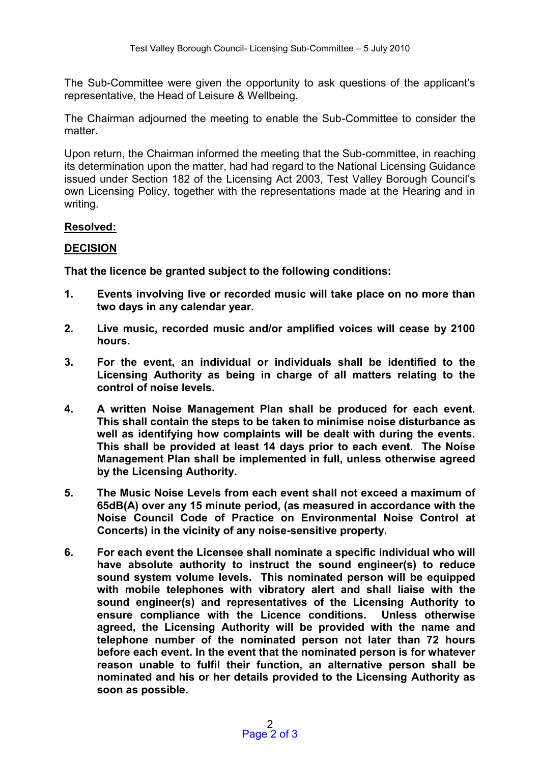The Sub-Committee were given the opportunity to ask questions of the applicant's representative, the Head of Leisure & Wellbeing.

The Chairman adjourned the meeting to enable the Sub-Committee to consider the matter.

Upon return, the Chairman informed the meeting that the Sub-committee, in reaching its determination upon the matter, had had regard to the National Licensing Guidance issued under Section 182 of the Licensing Act 2003, Test Valley Borough Council's own Licensing Policy, together with the representations made at the Hearing and in writing.

#### **Resolved:**

### **DECISION**

**That the licence be granted subject to the following conditions:** 

- **1. Events involving live or recorded music will take place on no more than two days in any calendar year.**
- **2. Live music, recorded music and/or amplified voices will cease by 2100 hours.**
- **3. For the event, an individual or individuals shall be identified to the Licensing Authority as being in charge of all matters relating to the control of noise levels.**
- **4. A written Noise Management Plan shall be produced for each event. This shall contain the steps to be taken to minimise noise disturbance as well as identifying how complaints will be dealt with during the events. This shall be provided at least 14 days prior to each event. The Noise Management Plan shall be implemented in full, unless otherwise agreed by the Licensing Authority.**
- **5. The Music Noise Levels from each event shall not exceed a maximum of 65dB(A) over any 15 minute period, (as measured in accordance with the Noise Council Code of Practice on Environmental Noise Control at Concerts) in the vicinity of any noise-sensitive property.**
- **6. For each event the Licensee shall nominate a specific individual who will have absolute authority to instruct the sound engineer(s) to reduce sound system volume levels. This nominated person will be equipped with mobile telephones with vibratory alert and shall liaise with the sound engineer(s) and representatives of the Licensing Authority to ensure compliance with the Licence conditions. Unless otherwise agreed, the Licensing Authority will be provided with the name and telephone number of the nominated person not later than 72 hours before each event. In the event that the nominated person is for whatever reason unable to fulfil their function, an alternative person shall be nominated and his or her details provided to the Licensing Authority as soon as possible.**